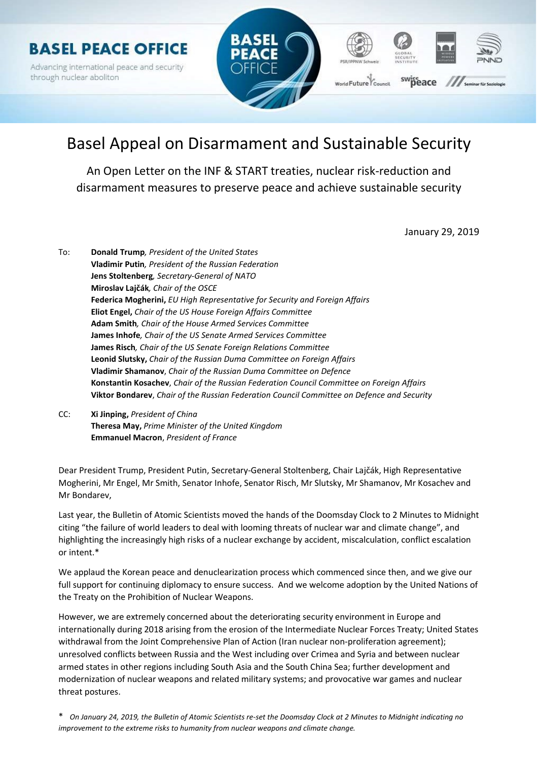

# Basel Appeal on Disarmament and Sustainable Security

An Open Letter on the INF & START treaties, nuclear risk-reduction and disarmament measures to preserve peace and achieve sustainable security

January 29, 2019

- To: Donald Trump, President of the United States Vladimir Putin, President of the Russian Federation Jens Stoltenberg, Secretary-General of NATO Miroslav Lajčák, Chair of the OSCE Federica Mogherini, EU High Representative for Security and Foreian Affairs Eliot Engel, Chair of the US House Foreign Affairs Committee Adam Smith, Chair of the House Armed Services Committee James Inhofe, Chair of the US Senate Armed Services Committee James Risch, Chair of the US Senate Foreign Relations Committee Leonid Slutsky, Chair of the Russian Duma Committee on Foreign Affairs Vladimir Shamanov, Chair of the Russian Duma Committee on Defence Konstantin Kosachev, Chair of the Russian Federation Council Committee on Foreign Affairs Viktor Bondarev, Chair of the Russian Federation Council Committee on Defence and Security
- CC: Xi Jinping, President of China Theresa May, Prime Minister of the United Kingdom Emmanuel Macron, President of France

Dear President Trump, President Putin, Secretary-General Stoltenberg, Chair Lajčák, High Representative Mogherini, Mr Engel, Mr Smith, Senator Inhofe, Senator Risch, Mr Slutsky, Mr Shamanov, Mr Kosachev and Mr Bondarev,

Last year, the Bulletin of Atomic Scientists moved the hands of the Doomsday Clock to 2 Minutes to Midnight citing "the failure of world leaders to deal with looming threats of nuclear war and climate change", and highlighting the increasingly high risks of a nuclear exchange by accident, miscalculation, conflict escalation or intent.\*

We applaud the Korean peace and denuclearization process which commenced since then, and we give our full support for continuing diplomacy to ensure success. And we welcome adoption by the United Nations of the Treaty on the Prohibition of Nuclear Weapons.

However, we are extremely concerned about the deteriorating security environment in Europe and internationally during 2018 arising from the erosion of the Intermediate Nuclear Forces Treaty; United States withdrawal from the Joint Comprehensive Plan of Action (Iran nuclear non-proliferation agreement); unresolved conflicts between Russia and the West including over Crimea and Syria and between nuclear armed states in other regions including South Asia and the South China Sea; further development and modernization of nuclear weapons and related military systems; and provocative war games and nuclear threat postures.

\* On January 24, 2019, the Bulletin of Atomic Scientists re-set the Doomsday Clock at 2 Minutes to Midnight indicating no improvement to the extreme risks to humanity from nuclear weapons and climate change.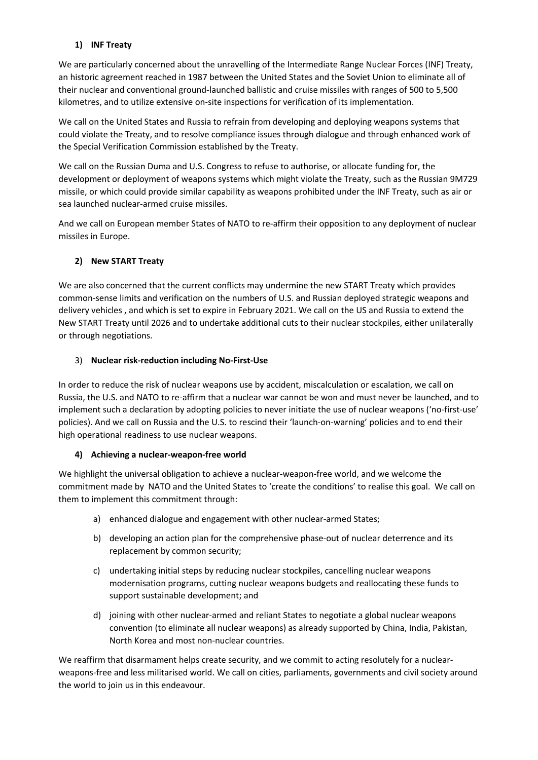## 1) INF Treaty

We are particularly concerned about the unravelling of the Intermediate Range Nuclear Forces (INF) Treaty, an historic agreement reached in 1987 between the United States and the Soviet Union to eliminate all of their nuclear and conventional ground-launched ballistic and cruise missiles with ranges of 500 to 5,500 kilometres, and to utilize extensive on-site inspections for verification of its implementation.

We call on the United States and Russia to refrain from developing and deploying weapons systems that could violate the Treaty, and to resolve compliance issues through dialogue and through enhanced work of the Special Verification Commission established by the Treaty.

We call on the Russian Duma and U.S. Congress to refuse to authorise, or allocate funding for, the development or deployment of weapons systems which might violate the Treaty, such as the Russian 9M729 missile, or which could provide similar capability as weapons prohibited under the INF Treaty, such as air or sea launched nuclear-armed cruise missiles.

And we call on European member States of NATO to re-affirm their opposition to any deployment of nuclear missiles in Europe.

# 2) New START Treaty

We are also concerned that the current conflicts may undermine the new START Treaty which provides common-sense limits and verification on the numbers of U.S. and Russian deployed strategic weapons and delivery vehicles , and which is set to expire in February 2021. We call on the US and Russia to extend the New START Treaty until 2026 and to undertake additional cuts to their nuclear stockpiles, either unilaterally or through negotiations.

## 3) Nuclear risk-reduction including No-First-Use

In order to reduce the risk of nuclear weapons use by accident, miscalculation or escalation, we call on Russia, the U.S. and NATO to re-affirm that a nuclear war cannot be won and must never be launched, and to implement such a declaration by adopting policies to never initiate the use of nuclear weapons ('no-first-use' policies). And we call on Russia and the U.S. to rescind their 'launch-on-warning' policies and to end their high operational readiness to use nuclear weapons.

## 4) Achieving a nuclear-weapon-free world

We highlight the universal obligation to achieve a nuclear-weapon-free world, and we welcome the commitment made by NATO and the United States to 'create the conditions' to realise this goal. We call on them to implement this commitment through:

- a) enhanced dialogue and engagement with other nuclear-armed States;
- b) developing an action plan for the comprehensive phase-out of nuclear deterrence and its replacement by common security;
- c) undertaking initial steps by reducing nuclear stockpiles, cancelling nuclear weapons modernisation programs, cutting nuclear weapons budgets and reallocating these funds to support sustainable development; and
- d) joining with other nuclear-armed and reliant States to negotiate a global nuclear weapons convention (to eliminate all nuclear weapons) as already supported by China, India, Pakistan, North Korea and most non-nuclear countries.

We reaffirm that disarmament helps create security, and we commit to acting resolutely for a nuclearweapons-free and less militarised world. We call on cities, parliaments, governments and civil society around the world to join us in this endeavour.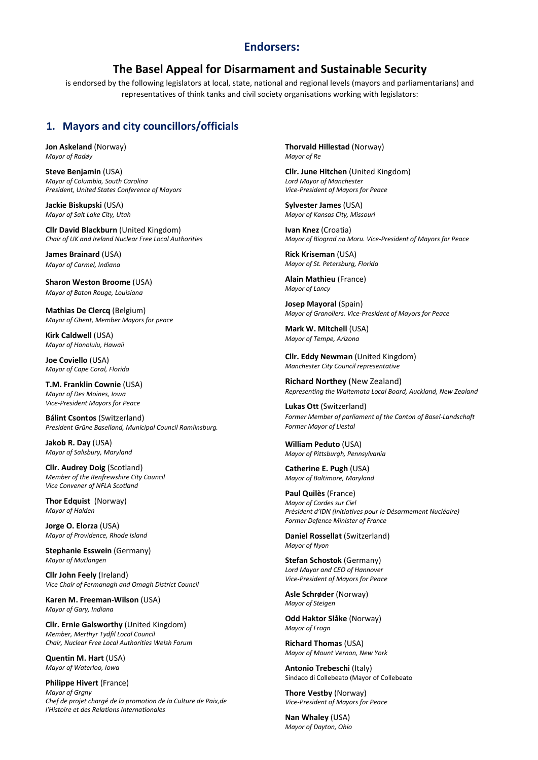# Endorsers:

# The Basel Appeal for Disarmament and Sustainable Security

is endorsed by the following legislators at local, state, national and regional levels (mayors and parliamentarians) and representatives of think tanks and civil society organisations working with legislators:

# 1. Mayors and city councillors/officials

Jon Askeland (Norway) Mayor of Radøy

Steve Benjamin (USA) Mayor of Columbia, South Carolina President, United States Conference of Mayors

Jackie Biskupski (USA) Mayor of Salt Lake City, Utah

Cllr David Blackburn (United Kingdom) Chair of UK and Ireland Nuclear Free Local Authorities

James Brainard (USA) Mayor of Carmel, Indiana

Sharon Weston Broome (USA) Mayor of Baton Rouge, Louisiana

Mathias De Clercq (Belgium) Mayor of Ghent, Member Mayors for peace

Kirk Caldwell (USA) Mayor of Honolulu, Hawaii

Joe Coviello (USA) Mayor of Cape Coral, Florida

T.M. Franklin Cownie (USA) Mayor of Des Moines, Iowa Vice-President Mayors for Peace

Bálint Csontos (Switzerland) President Grüne Baselland, Municipal Council Ramlinsburg.

Jakob R. Day (USA) Mayor of Salisbury, Maryland

Cllr. Audrey Doig (Scotland) Member of the Renfrewshire City Council Vice Convener of NFLA Scotland

Thor Edquist (Norway) Mayor of Halden

Jorge O. Elorza (USA) Mayor of Providence, Rhode Island

Stephanie Esswein (Germany) Mayor of Mutlangen

Cllr John Feely (Ireland) Vice Chair of Fermanagh and Omagh District Council

Karen M. Freeman-Wilson (USA) Mayor of Gary, Indiana

Cllr. Ernie Galsworthy (United Kingdom) Member, Merthyr Tydfil Local Council Chair, Nuclear Free Local Authorities Welsh Forum

Quentin M. Hart (USA) Mayor of Waterloo, Iowa

Philippe Hivert (France) Mayor of Grany Chef de projet chargé de la promotion de la Culture de Paix,de l'Histoire et des Relations Internationales

Thorvald Hillestad (Norway) Mayor of Re

Cllr. June Hitchen (United Kingdom) Lord Mayor of Manchester Vice-President of Mayors for Peace

Sylvester James (USA) Mayor of Kansas City, Missouri

Ivan Knez (Croatia) Mayor of Biograd na Moru. Vice-President of Mayors for Peace

Rick Kriseman (USA) Mayor of St. Petersburg, Florida

Alain Mathieu (France) Mayor of Lancy

Josep Mayoral (Spain) Mayor of Granollers. Vice-President of Mayors for Peace

Mark W. Mitchell (USA) Mayor of Tempe, Arizona

Cllr. Eddy Newman (United Kingdom) Manchester City Council representative

Richard Northey (New Zealand) Representing the Waitemata Local Board, Auckland, New Zealand

Lukas Ott (Switzerland) Former Member of parliament of the Canton of Basel-Landschaft Former Mayor of Liestal

William Peduto (USA) Mayor of Pittsburgh, Pennsylvania

Catherine E. Pugh (USA) Mayor of Baltimore, Maryland

Paul Quilès (France) Mayor of Cordes sur Ciel Président d'IDN (Initiatives pour le Désarmement Nucléaire) Former Defence Minister of France

Daniel Rossellat (Switzerland) Mayor of Nyon

Stefan Schostok (Germany) Lord Mayor and CEO of Hannover Vice-President of Mayors for Peace

Asle Schrøder (Norway) Mayor of Steigen

Odd Haktor Slåke (Norway) Mayor of Frogn

Richard Thomas (USA) Mayor of Mount Vernon, New York

Antonio Trebeschi (Italy) Sindaco di Collebeato (Mayor of Collebeato

Thore Vestby (Norway) Vice-President of Mayors for Peace

Nan Whaley (USA) Mayor of Dayton, Ohio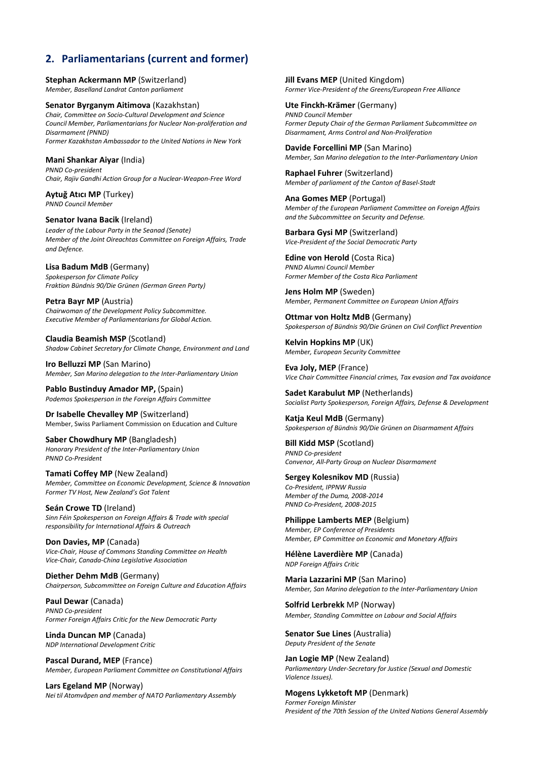# 2. Parliamentarians (current and former)

Stephan Ackermann MP (Switzerland) Member, Baselland Landrat Canton parliament

Senator Byrganym Aitimova (Kazakhstan) Chair, Committee on Socio-Cultural Development and Science Council Member, Parliamentarians for Nuclear Non-proliferation and Disarmament (PNND) Former Kazakhstan Ambassador to the United Nations in New York

### Mani Shankar Aiyar (India)

PNND Co-president Chair, Rajiv Gandhi Action Group for a Nuclear-Weapon-Free Word

Aytuğ Atıcı MP (Turkey) PNND Council Member

#### Senator Ivana Bacik (Ireland)

Leader of the Labour Party in the Seanad (Senate) Member of the Joint Oireachtas Committee on Foreign Affairs, Trade and Defence.

Lisa Badum MdB (Germany)

Spokesperson for Climate Policy Fraktion Bündnis 90/Die Grünen (German Green Party)

Petra Bayr MP (Austria) Chairwoman of the Development Policy Subcommittee. Executive Member of Parliamentarians for Global Action.

Claudia Beamish MSP (Scotland) Shadow Cabinet Secretary for Climate Change, Environment and Land

Iro Belluzzi MP (San Marino) Member, San Marino delegation to the Inter-Parliamentary Union

Pablo Bustinduy Amador MP, (Spain) Podemos Spokesperson in the Foreign Affairs Committee

Dr Isabelle Chevalley MP (Switzerland) Member, Swiss Parliament Commission on Education and Culture

Saber Chowdhury MP (Bangladesh) Honorary President of the Inter-Parliamentary Union PNND Co-President

Tamati Coffey MP (New Zealand) Member, Committee on Economic Development, Science & Innovation Former TV Host, New Zealand's Got Talent

Seán Crowe TD (Ireland) Sinn Féin Spokesperson on Foreign Affairs & Trade with special responsibility for International Affairs & Outreach

Don Davies, MP (Canada) Vice-Chair, House of Commons Standing Committee on Health Vice-Chair, Canada-China Legislative Association

Diether Dehm MdB (Germany) Chairperson, Subcommittee on Foreign Culture and Education Affairs

Paul Dewar (Canada) PNND Co-president Former Foreign Affairs Critic for the New Democratic Party

Linda Duncan MP (Canada) NDP International Development Critic

Pascal Durand, MEP (France) Member, European Parliament Committee on Constitutional Affairs

Lars Egeland MP (Norway) Nei til Atomvåpen and member of NATO Parliamentary Assembly Jill Evans MEP (United Kingdom) Former Vice-President of the Greens/European Free Alliance

Ute Finckh-Krämer (Germany) PNND Council Member Former Deputy Chair of the German Parliament Subcommittee on Disarmament, Arms Control and Non-Proliferation

Davide Forcellini MP (San Marino) Member, San Marino delegation to the Inter-Parliamentary Union

Raphael Fuhrer (Switzerland) Member of parliament of the Canton of Basel-Stadt

Ana Gomes MEP (Portugal) Member of the European Parliament Committee on Foreign Affairs and the Subcommittee on Security and Defense.

Barbara Gysi MP (Switzerland) Vice-President of the Social Democratic Party

Edine von Herold (Costa Rica) PNND Alumni Council Member Former Member of the Costa Rica Parliament

Jens Holm MP (Sweden) Member, Permanent Committee on European Union Affairs

Ottmar von Holtz MdB (Germany) Spokesperson of Bündnis 90/Die Grünen on Civil Conflict Prevention

Kelvin Hopkins MP (UK) Member, European Security Committee

Eva Joly, MEP (France) Vice Chair Committee Financial crimes, Tax evasion and Tax avoidance

Sadet Karabulut MP (Netherlands) Socialist Party Spokesperson, Foreign Affairs, Defense & Development

Katja Keul MdB (Germany) Spokesperson of Bündnis 90/Die Grünen on Disarmament Affairs

Bill Kidd MSP (Scotland) PNND Co-president Convenor, All-Party Group on Nuclear Disarmament

Sergey Kolesnikov MD (Russia) Co-President, IPPNW Russia Member of the Duma, 2008-2014 PNND Co-President, 2008-2015

Philippe Lamberts MEP (Belgium) Member, EP Conference of Presidents Member, EP Committee on Economic and Monetary Affairs

Hélène Laverdière MP (Canada) NDP Foreign Affairs Critic

Maria Lazzarini MP (San Marino) Member, San Marino delegation to the Inter-Parliamentary Union

Solfrid Lerbrekk MP (Norway) Member, Standing Committee on Labour and Social Affairs

Senator Sue Lines (Australia) Deputy President of the Senate

Jan Logie MP (New Zealand) Parliamentary Under-Secretary for Justice (Sexual and Domestic Violence Issues).

Mogens Lykketoft MP (Denmark) Former Foreign Minister President of the 70th Session of the United Nations General Assembly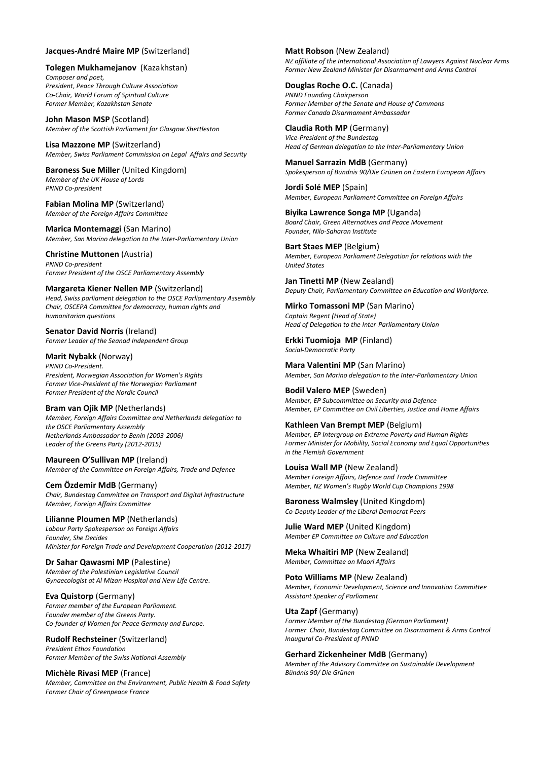### Jacques-André Maire MP (Switzerland)

Tolegen Mukhamejanov (Kazakhstan) Composer and poet, President, Peace Through Culture Association Co-Chair, World Forum of Spiritual Culture Former Member, Kazakhstan Senate

John Mason MSP (Scotland) Member of the Scottish Parliament for Glasgow Shettleston

Lisa Mazzone MP (Switzerland) Member, Swiss Parliament Commission on Legal Affairs and Security

Baroness Sue Miller (United Kingdom) Member of the UK House of Lords PNND Co-president

Fabian Molina MP (Switzerland) Member of the Foreign Affairs Committee

Marica Montemaggi (San Marino) Member, San Marino delegation to the Inter-Parliamentary Union

Christine Muttonen (Austria) PNND Co-president Former President of the OSCE Parliamentary Assembly

Margareta Kiener Nellen MP (Switzerland) Head, Swiss parliament delegation to the OSCE Parliamentary Assembly Chair, OSCEPA Committee for democracy, human rights and humanitarian questions

Senator David Norris (Ireland) Former Leader of the Seanad Independent Group

Marit Nybakk (Norway) PNND Co-President. President, Norwegian Association for Women's Rights Former Vice-President of the Norwegian Parliament Former President of the Nordic Council

### Bram van Ojik MP (Netherlands) Member, Foreign Affairs Committee and Netherlands delegation to the OSCE Parliamentary Assembly Netherlands Ambassador to Benin (2003-2006)

Leader of the Greens Party (2012-2015)

Maureen O'Sullivan MP (Ireland) Member of the Committee on Foreign Affairs, Trade and Defence

Cem Özdemir MdB (Germany) Chair, Bundestag Committee on Transport and Digital Infrastructure Member, Foreign Affairs Committee

Lilianne Ploumen MP (Netherlands) Labour Party Spokesperson on Foreign Affairs Founder, She Decides Minister for Foreign Trade and Development Cooperation (2012-2017)

### Dr Sahar Qawasmi MP (Palestine) Member of the Palestinian Legislative Council Gynaecologist at Al Mizan Hospital and New Life Centre.

Eva Quistorp (Germany) Former member of the European Parliament. Founder member of the Greens Party. Co-founder of Women for Peace Germany and Europe.

Rudolf Rechsteiner (Switzerland) President Ethos Foundation Former Member of the Swiss National Assembly

Michèle Rivasi MEP (France) Member, Committee on the Environment, Public Health & Food Safety Former Chair of Greenpeace France

Matt Robson (New Zealand) NZ affiliate of the International Association of Lawyers Against Nuclear Arms Former New Zealand Minister for Disarmament and Arms Control

Douglas Roche O.C. (Canada) PNND Founding Chairperson Former Member of the Senate and House of Commons Former Canada Disarmament Ambassador

Claudia Roth MP (Germany) Vice-President of the Bundestag Head of German delegation to the Inter-Parliamentary Union

Manuel Sarrazin MdB (Germany) Spokesperson of Bündnis 90/Die Grünen on Eastern European Affairs

Jordi Solé MEP (Spain) Member, European Parliament Committee on Foreign Affairs

Biyika Lawrence Songa MP (Uganda) Board Chair, Green Alternatives and Peace Movement Founder, Nilo-Saharan Institute

Bart Staes MEP (Belgium) Member, European Parliament Delegation for relations with the United States

Jan Tinetti MP (New Zealand) Deputy Chair, Parliamentary Committee on Education and Workforce.

Mirko Tomassoni MP (San Marino) Captain Regent (Head of State) Head of Delegation to the Inter-Parliamentary Union

Erkki Tuomioja MP (Finland) Social-Democratic Party

Mara Valentini MP (San Marino) Member, San Marino delegation to the Inter-Parliamentary Union

Bodil Valero MEP (Sweden) Member, EP Subcommittee on Security and Defence Member, EP Committee on Civil Liberties, Justice and Home Affairs

Kathleen Van Brempt MEP (Belgium) Member, EP Intergroup on Extreme Poverty and Human Rights Former Minister for Mobility, Social Economy and Equal Opportunities in the Flemish Government

Louisa Wall MP (New Zealand) Member Foreign Affairs, Defence and Trade Committee Member, NZ Women's Rugby World Cup Champions 1998

Baroness Walmsley (United Kingdom) Co-Deputy Leader of the Liberal Democrat Peers

Julie Ward MEP (United Kingdom) Member EP Committee on Culture and Education

Meka Whaitiri MP (New Zealand) Member, Committee on Maori Affairs

Poto Williams MP (New Zealand) Member, Economic Development, Science and Innovation Committee Assistant Speaker of Parliament

Uta Zapf (Germany) Former Member of the Bundestag (German Parliament) Former Chair, Bundestag Committee on Disarmament & Arms Control Inaugural Co-President of PNND

Gerhard Zickenheiner MdB (Germany)

Member of the Advisory Committee on Sustainable Development Bündnis 90/ Die Grünen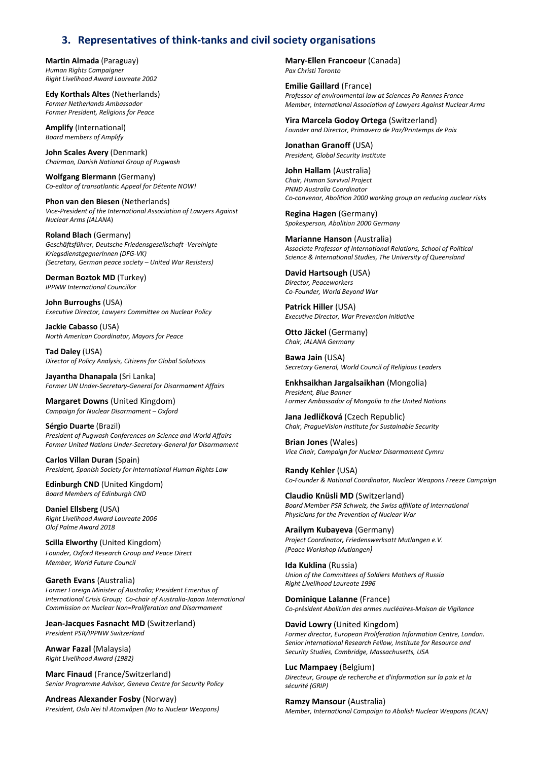# 3. Representatives of think-tanks and civil society organisations

Martin Almada (Paraguay) Human Rights Campaigner Right Livelihood Award Laureate 2002

Edy Korthals Altes (Netherlands) Former Netherlands Ambassador Former President, Religions for Peace

Amplify (International) Board members of Amplify

John Scales Avery (Denmark) Chairman, Danish National Group of Pugwash

Wolfgang Biermann (Germany) Co-editor of transatlantic Appeal for Détente NOW!

Phon van den Biesen (Netherlands) Vice-President of the International Association of Lawyers Against Nuclear Arms (IALANA)

Roland Blach (Germany) Geschäftsführer, Deutsche Friedensgesellschaft -Vereinigte KriegsdienstgegnerInnen (DFG-VK) (Secretary, German peace society – United War Resisters)

Derman Boztok MD (Turkey) IPPNW International Councillor

John Burroughs (USA) Executive Director, Lawyers Committee on Nuclear Policy

Jackie Cabasso (USA) North American Coordinator, Mayors for Peace

Tad Daley (USA) Director of Policy Analysis, Citizens for Global Solutions

Jayantha Dhanapala (Sri Lanka) Former UN Under-Secretary-General for Disarmament Affairs

Margaret Downs (United Kingdom) Campaign for Nuclear Disarmament – Oxford

Sérgio Duarte (Brazil) President of Pugwash Conferences on Science and World Affairs Former United Nations Under-Secretary-General for Disarmament

Carlos Villan Duran (Spain) President, Spanish Society for International Human Rights Law

Edinburgh CND (United Kingdom) Board Members of Edinburgh CND

Daniel Ellsberg (USA) Right Livelihood Award Laureate 2006 Olof Palme Award 2018

Scilla Elworthy (United Kingdom) Founder, Oxford Research Group and Peace Direct Member, World Future Council

Gareth Evans (Australia) Former Foreign Minister of Australia; President Emeritus of International Crisis Group; Co-chair of Australia-Japan International Commission on Nuclear Non=Proliferation and Disarmament

Jean-Jacques Fasnacht MD (Switzerland) President PSR/IPPNW Switzerland

Anwar Fazal (Malaysia) Right Livelihood Award (1982)

Marc Finaud (France/Switzerland) Senior Programme Advisor, Geneva Centre for Security Policy

Andreas Alexander Fosby (Norway) President, Oslo Nei til Atomvåpen (No to Nuclear Weapons) Mary-Ellen Francoeur (Canada) Pax Christi Toronto

Emilie Gaillard (France) Professor of environmental law at Sciences Po Rennes France Member, International Association of Lawyers Against Nuclear Arms

Yira Marcela Godoy Ortega (Switzerland) Founder and Director, Primavera de Paz/Printemps de Paix

Jonathan Granoff (USA) President, Global Security Institute

John Hallam (Australia) Chair, Human Survival Project PNND Australia Coordinator Co-convenor, Abolition 2000 working group on reducing nuclear risks

Regina Hagen (Germany) Spokesperson, Abolition 2000 Germany

Marianne Hanson (Australia) Associate Professor of International Relations, School of Political Science & International Studies, The University of Queensland

David Hartsough (USA) Director, Peaceworkers Co-Founder, World Beyond War

Patrick Hiller (USA) Executive Director, War Prevention Initiative

Otto Jäckel (Germany) Chair, IALANA Germany

Bawa Jain (USA) Secretary General, World Council of Religious Leaders

Enkhsaikhan Jargalsaikhan (Mongolia) President, Blue Banner Former Ambassador of Mongolia to the United Nations

Jana Jedličková (Czech Republic) Chair, PragueVision Institute for Sustainable Security

Brian Jones (Wales) Vice Chair, Campaign for Nuclear Disarmament Cymru

Randy Kehler (USA) Co-Founder & National Coordinator, Nuclear Weapons Freeze Campaign

Claudio Knüsli MD (Switzerland) Board Member PSR Schweiz, the Swiss affiliate of International Physicians for the Prevention of Nuclear War

Arailym Kubayeva (Germany) Project Coordinator, Friedenswerksatt Mutlangen e.V. (Peace Workshop Mutlangen)

Ida Kuklina (Russia) Union of the Committees of Soldiers Mothers of Russia Right Livelihood Laureate 1996

Dominique Lalanne (France) Co-président Abolition des armes nucléaires-Maison de Vigilance

David Lowry (United Kingdom) Former director, European Proliferation Information Centre, London. Senior international Research Fellow, Institute for Resource and Security Studies, Cambridge, Massachusetts, USA

Luc Mampaey (Belgium) Directeur, Groupe de recherche et d'information sur la paix et la sécurité (GRIP)

Ramzy Mansour (Australia) Member, International Campaign to Abolish Nuclear Weapons (ICAN)